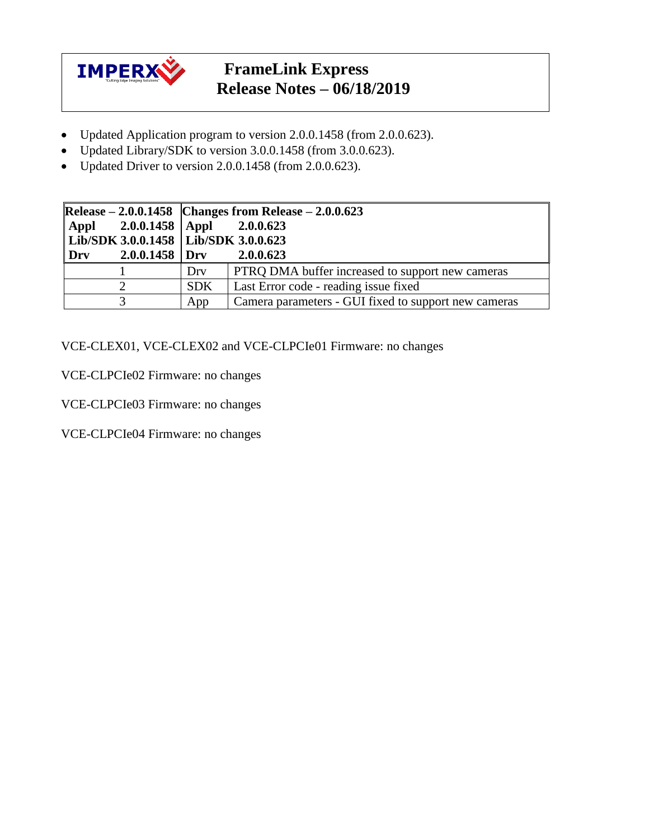

## **FrameLink Express Release Notes – 06/18/2019**

- Updated Application program to version 2.0.0.1458 (from 2.0.0.623).
- Updated Library/SDK to version 3.0.0.1458 (from 3.0.0.623).
- Updated Driver to version 2.0.0.1458 (from 2.0.0.623).

|                                         |            | Release $-2.0.0.1458$ Changes from Release $-2.0.0623$ |  |
|-----------------------------------------|------------|--------------------------------------------------------|--|
| $\text{Appl}$ 2.0.0.1458 Appl 2.0.0.623 |            |                                                        |  |
| Lib/SDK 3.0.0.1458   Lib/SDK 3.0.0.623  |            |                                                        |  |
| $2.0.0.1458$ Drv<br>$\bf  $ Drv         |            | 2.0.0.623                                              |  |
|                                         | Dry        | PTRQ DMA buffer increased to support new cameras       |  |
|                                         | <b>SDK</b> | Last Error code - reading issue fixed                  |  |
|                                         | App        | Camera parameters - GUI fixed to support new cameras   |  |

VCE-CLEX01, VCE-CLEX02 and VCE-CLPCIe01 Firmware: no changes

VCE-CLPCIe02 Firmware: no changes

VCE-CLPCIe03 Firmware: no changes

VCE-CLPCIe04 Firmware: no changes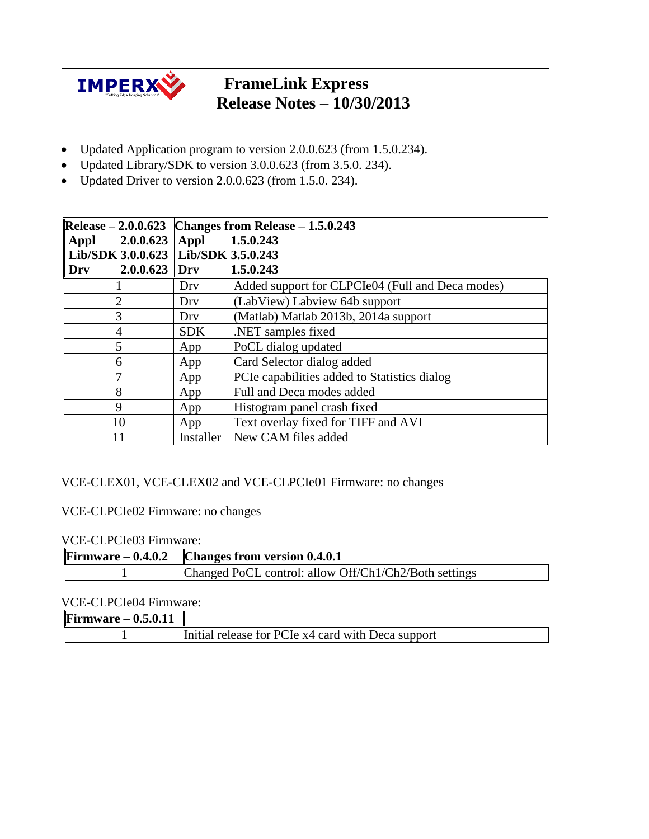

# **FrameLink Express Release Notes – 10/30/2013**

- Updated Application program to version 2.0.0.623 (from 1.5.0.234).
- Updated Library/SDK to version 3.0.0.623 (from 3.5.0. 234).
- Updated Driver to version 2.0.0.623 (from 1.5.0. 234).

| $\overline{\text{Release} - 2.0.0.623}$ |            | Changes from Release $-1.5.0.243$                |
|-----------------------------------------|------------|--------------------------------------------------|
| $ \! $ Appl 2.0.0.623                   | Appl       | 1.5.0.243                                        |
| Lib/SDK 3.0.0.623   Lib/SDK 3.5.0.243   |            |                                                  |
| $2.0.0.623$ Drv<br>Drv                  |            | 1.5.0.243                                        |
|                                         | Dry        | Added support for CLPCIe04 (Full and Deca modes) |
| 2                                       | Dry        | (LabView) Labview 64b support                    |
| 3                                       | Dry        | (Matlab) Matlab 2013b, 2014a support             |
| $\overline{4}$                          | <b>SDK</b> | .NET samples fixed                               |
| 5                                       | App        | PoCL dialog updated                              |
| 6                                       | App        | Card Selector dialog added                       |
| 7                                       | App        | PCIe capabilities added to Statistics dialog     |
| 8                                       | App        | Full and Deca modes added                        |
| 9                                       | App        | Histogram panel crash fixed                      |
| 10                                      | App        | Text overlay fixed for TIFF and AVI              |
| 11                                      | Installer  | New CAM files added                              |

### VCE-CLEX01, VCE-CLEX02 and VCE-CLPCIe01 Firmware: no changes

VCE-CLPCIe02 Firmware: no changes

VCE-CLPCIe03 Firmware:

| Firmware $-0.4.0.2$ Changes from version 0.4.0.1      |  |
|-------------------------------------------------------|--|
| Changed PoCL control: allow Off/Ch1/Ch2/Both settings |  |

#### VCE-CLPCIe04 Firmware:

| Firmware $-0.5.0.11$ |                                                    |
|----------------------|----------------------------------------------------|
|                      | Initial release for PCIe x4 card with Deca support |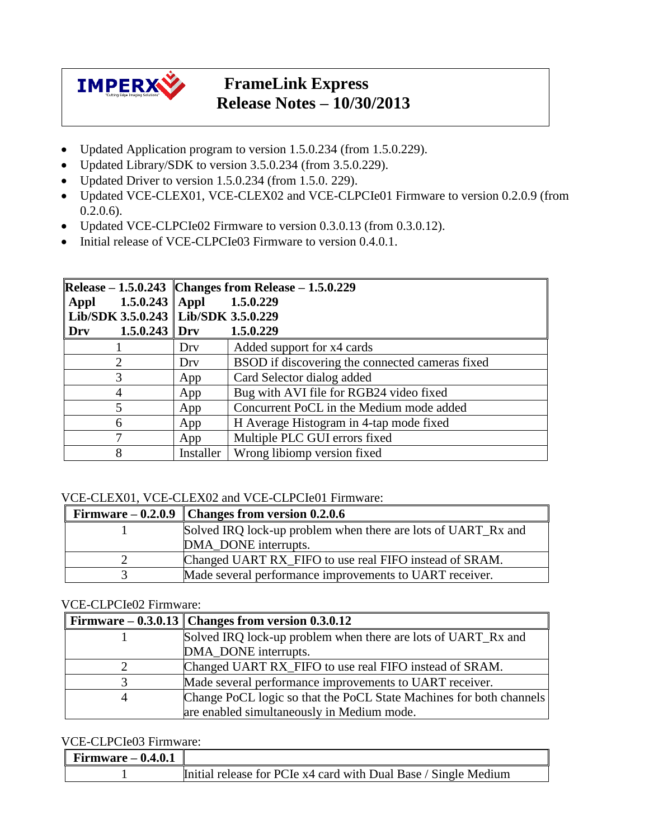

# **FrameLink Express Release Notes – 10/30/2013**

- Updated Application program to version 1.5.0.234 (from 1.5.0.229).
- Updated Library/SDK to version 3.5.0.234 (from 3.5.0.229).
- Updated Driver to version 1.5.0.234 (from 1.5.0. 229).
- Updated VCE-CLEX01, VCE-CLEX02 and VCE-CLPCIe01 Firmware to version 0.2.0.9 (from  $0.2.0.6$ ).
- Updated VCE-CLPCIe02 Firmware to version 0.3.0.13 (from 0.3.0.12).
- Initial release of VCE-CLPCIe03 Firmware to version 0.4.0.1.

|                                       |           | Release $-1.5.0.243$ Changes from Release $-1.5.0.229$ |
|---------------------------------------|-----------|--------------------------------------------------------|
| $\Delta$ ppl 1.5.0.243 $\Delta$ ppl   |           | 1.5.0.229                                              |
| Lib/SDK 3.5.0.243   Lib/SDK 3.5.0.229 |           |                                                        |
| $1.5.0.243$ Drv<br>Dry                |           | 1.5.0.229                                              |
|                                       | Dry       | Added support for x4 cards                             |
| $\overline{2}$                        | Dry       | BSOD if discovering the connected cameras fixed        |
| 3                                     | App       | Card Selector dialog added                             |
| 4                                     | App       | Bug with AVI file for RGB24 video fixed                |
| 5                                     | App       | Concurrent PoCL in the Medium mode added               |
| 6                                     | App       | H Average Histogram in 4-tap mode fixed                |
| 7                                     | App       | Multiple PLC GUI errors fixed                          |
| 8                                     | Installer | Wrong libiomp version fixed                            |

#### VCE-CLEX01, VCE-CLEX02 and VCE-CLPCIe01 Firmware:

| Firmware $-0.2.0.9$ Changes from version 0.2.0.6              |
|---------------------------------------------------------------|
| Solved IRQ lock-up problem when there are lots of UART_Rx and |
| DMA DONE interrupts.                                          |
| Changed UART RX FIFO to use real FIFO instead of SRAM.        |
| Made several performance improvements to UART receiver.       |

#### VCE-CLPCIe02 Firmware:

|   | Firmware $-0.3.0.13$ Changes from version $0.3.0.12$                |
|---|---------------------------------------------------------------------|
|   | Solved IRQ lock-up problem when there are lots of UART_Rx and       |
|   | DMA_DONE interrupts.                                                |
|   | Changed UART RX_FIFO to use real FIFO instead of SRAM.              |
|   | Made several performance improvements to UART receiver.             |
| 4 | Change PoCL logic so that the PoCL State Machines for both channels |
|   | are enabled simultaneously in Medium mode.                          |

#### VCE-CLPCIe03 Firmware:

| $\blacksquare$ Firmware $-0.4.0.1$ |                                                                 |
|------------------------------------|-----------------------------------------------------------------|
|                                    | Initial release for PCIe x4 card with Dual Base / Single Medium |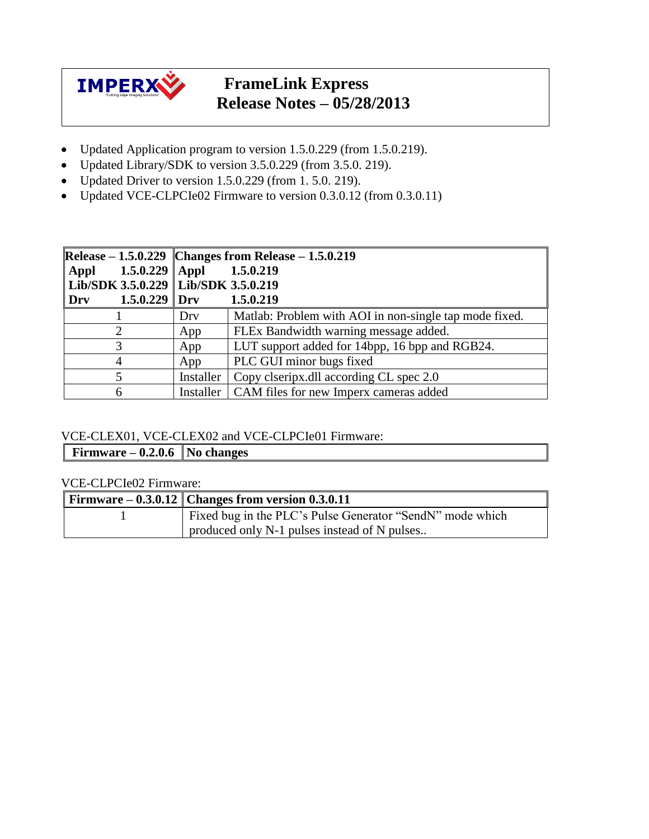

# **FrameLink Express Release Notes – 05/28/2013**

- Updated Application program to version 1.5.0.229 (from 1.5.0.219).
- Updated Library/SDK to version 3.5.0.229 (from 3.5.0. 219).
- Updated Driver to version 1.5.0.229 (from 1. 5.0. 219).
- Updated VCE-CLPCIe02 Firmware to version 0.3.0.12 (from 0.3.0.11)

|                                       |           | Release $-1.5.0.229$ Changes from Release $-1.5.0.219$ |
|---------------------------------------|-----------|--------------------------------------------------------|
| $ \! $ Appl 1.5.0.229                 | Appl      | 1.5.0.219                                              |
| Lib/SDK 3.5.0.229   Lib/SDK 3.5.0.219 |           |                                                        |
| $1.5.0.229$ Drv<br>  Drv              |           | 1.5.0.219                                              |
|                                       | Dry       | Matlab: Problem with AOI in non-single tap mode fixed. |
| $\overline{2}$                        | App       | FLEx Bandwidth warning message added.                  |
| 3                                     | App       | LUT support added for 14bpp, 16 bpp and RGB24.         |
| 4                                     | App       | PLC GUI minor bugs fixed                               |
| 5                                     | Installer | Copy clseripx.dll according CL spec 2.0                |
| 6                                     | Installer | CAM files for new Imperx cameras added                 |

VCE-CLEX01, VCE-CLEX02 and VCE-CLPCIe01 Firmware:

**Firmware –**  $0.2.0.6$  **No changes** 

VCE-CLPCIe02 Firmware:

| $\parallel$ Firmware – 0.3.0.12 $\parallel$ Changes from version 0.3.0.11 |  |
|---------------------------------------------------------------------------|--|
| Fixed bug in the PLC's Pulse Generator "SendN" mode which                 |  |
| produced only N-1 pulses instead of N pulses                              |  |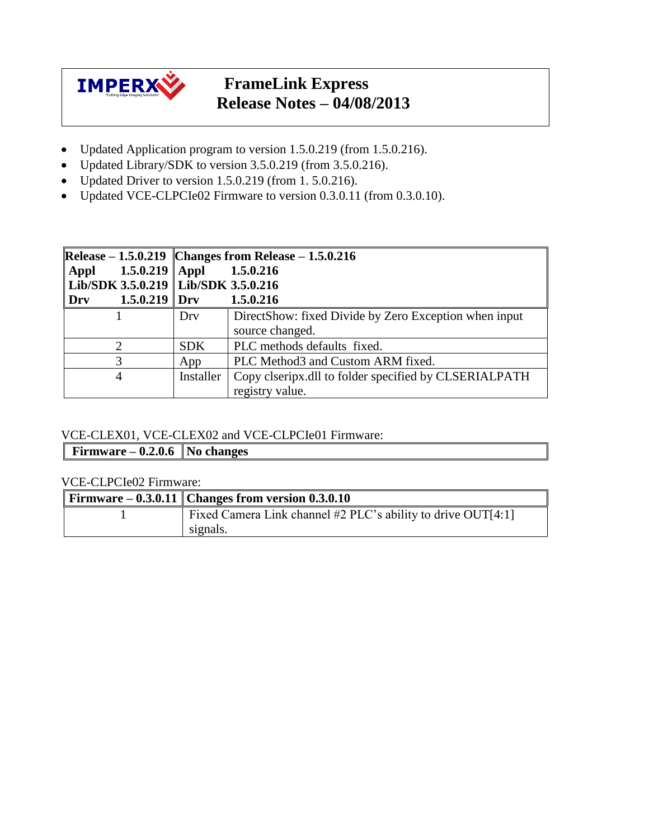

# **FrameLink Express Release Notes – 04/08/2013**

- Updated Application program to version 1.5.0.219 (from 1.5.0.216).
- Updated Library/SDK to version 3.5.0.219 (from 3.5.0.216).
- Updated Driver to version 1.5.0.219 (from 1. 5.0.216).
- Updated VCE-CLPCIe02 Firmware to version 0.3.0.11 (from 0.3.0.10).

|                                       | Release $-1.5.0.219$ Changes from Release $-1.5.0.216$ |                                                       |
|---------------------------------------|--------------------------------------------------------|-------------------------------------------------------|
| 1.5.0.219   Appl<br>  Appl            |                                                        | 1.5.0.216                                             |
| Lib/SDK 3.5.0.219   Lib/SDK 3.5.0.216 |                                                        |                                                       |
| $1.5.0.219$ Drv<br>Drv                |                                                        | 1.5.0.216                                             |
|                                       | Dry                                                    | DirectShow: fixed Divide by Zero Exception when input |
|                                       |                                                        | source changed.                                       |
| $\overline{2}$                        | <b>SDK</b>                                             | PLC methods defaults fixed.                           |
| 3                                     | App                                                    | PLC Method3 and Custom ARM fixed.                     |
| 4                                     | Installer                                              | Copy clseripx.dll to folder specified by CLSERIALPATH |
|                                       |                                                        | registry value.                                       |

### VCE-CLEX01, VCE-CLEX02 and VCE-CLPCIe01 Firmware:

**Firmware –**  $0.2.0.6$  **No changes** 

### VCE-CLPCIe02 Firmware:

| <b>Firmware</b> – 0.3.0.11 Changes from version 0.3.0.10     |  |
|--------------------------------------------------------------|--|
| Fixed Camera Link channel #2 PLC's ability to drive OUT[4:1] |  |
| signals.                                                     |  |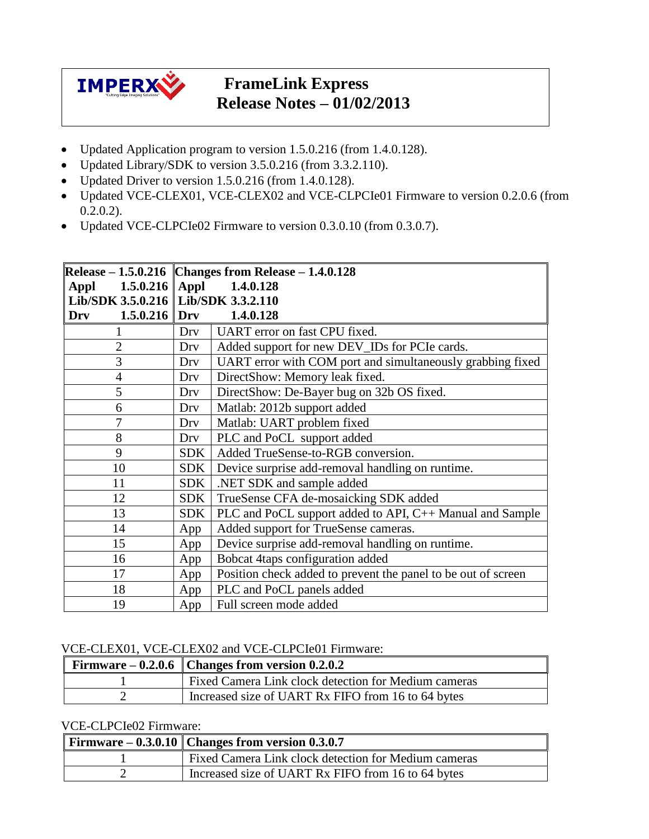

# **FrameLink Express Release Notes – 01/02/2013**

- Updated Application program to version 1.5.0.216 (from 1.4.0.128).
- Updated Library/SDK to version 3.5.0.216 (from 3.3.2.110).
- Updated Driver to version 1.5.0.216 (from 1.4.0.128).
- Updated VCE-CLEX01, VCE-CLEX02 and VCE-CLPCIe01 Firmware to version 0.2.0.6 (from  $0.2.0.2$ ).
- Updated VCE-CLPCIe02 Firmware to version 0.3.0.10 (from 0.3.0.7).

|                                       | Release $-1.5.0.216$ Changes from Release $-1.4.0.128$ |                                                               |
|---------------------------------------|--------------------------------------------------------|---------------------------------------------------------------|
| Appl 1.5.0.216                        | Appl                                                   | 1.4.0.128                                                     |
| Lib/SDK 3.5.0.216   Lib/SDK 3.3.2.110 |                                                        |                                                               |
| $1.5.0.216$ Drv<br>Drv                |                                                        | 1.4.0.128                                                     |
| 1                                     | Drv                                                    | UART error on fast CPU fixed.                                 |
| $\overline{2}$                        | Dry                                                    | Added support for new DEV_IDs for PCIe cards.                 |
| $\overline{3}$                        | Drv                                                    | UART error with COM port and simultaneously grabbing fixed    |
| $\overline{4}$                        | Drv                                                    | DirectShow: Memory leak fixed.                                |
| 5                                     | Dry                                                    | DirectShow: De-Bayer bug on 32b OS fixed.                     |
| 6                                     | Dry                                                    | Matlab: 2012b support added                                   |
| 7                                     | Drv                                                    | Matlab: UART problem fixed                                    |
| 8                                     | Drv                                                    | PLC and PoCL support added                                    |
| 9                                     | <b>SDK</b>                                             | Added TrueSense-to-RGB conversion.                            |
| 10                                    | SDK                                                    | Device surprise add-removal handling on runtime.              |
| 11                                    | SDK                                                    | .NET SDK and sample added                                     |
| 12                                    | SDK                                                    | TrueSense CFA de-mosaicking SDK added                         |
| 13                                    | <b>SDK</b>                                             | PLC and PoCL support added to API, C++ Manual and Sample      |
| 14                                    | App                                                    | Added support for TrueSense cameras.                          |
| 15                                    | App                                                    | Device surprise add-removal handling on runtime.              |
| 16                                    | App                                                    | Bobcat 4taps configuration added                              |
| 17                                    | App                                                    | Position check added to prevent the panel to be out of screen |
| 18                                    | App                                                    | PLC and PoCL panels added                                     |
| 19                                    | App                                                    | Full screen mode added                                        |

#### VCE-CLEX01, VCE-CLEX02 and VCE-CLPCIe01 Firmware:

| Firmware – 0.2.0.6 Changes from version 0.2.0.2      |  |  |
|------------------------------------------------------|--|--|
| Fixed Camera Link clock detection for Medium cameras |  |  |
| Increased size of UART Rx FIFO from 16 to 64 bytes   |  |  |

#### VCE-CLPCIe02 Firmware:

| <b>Firmware – 0.3.0.10</b> Changes from version $0.3.0.7$ |  |  |
|-----------------------------------------------------------|--|--|
| Fixed Camera Link clock detection for Medium cameras      |  |  |
| Increased size of UART Rx FIFO from 16 to 64 bytes        |  |  |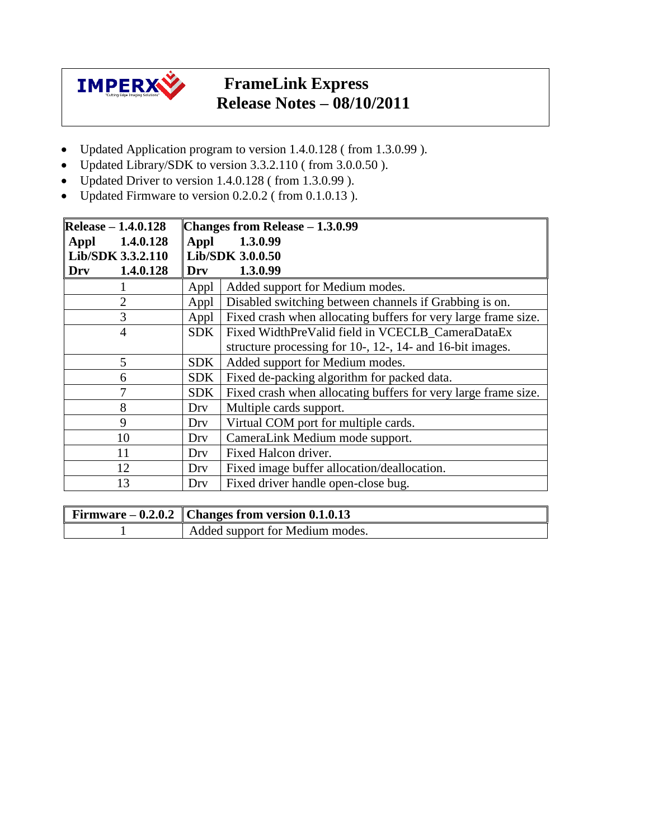

# **FrameLink Express Release Notes – 08/10/2011**

- Updated Application program to version 1.4.0.128 ( from 1.3.0.99 ).
- Updated Library/SDK to version 3.3.2.110 ( from 3.0.0.50 ).
- Updated Driver to version 1.4.0.128 ( from 1.3.0.99 ).
- Updated Firmware to version 0.2.0.2 (from 0.1.0.13).

| $Release - 1.4.0.128$ | Changes from Release $-1.3.0.99$ |                                                                |
|-----------------------|----------------------------------|----------------------------------------------------------------|
| Appl 1.4.0.128        | Appl                             | 1.3.0.99                                                       |
| Lib/SDK 3.3.2.110     | Lib/SDK 3.0.0.50                 |                                                                |
| 1.4.0.128<br>Drv      | Drv                              | 1.3.0.99                                                       |
|                       | Appl                             | Added support for Medium modes.                                |
| $\overline{2}$        | Appl                             | Disabled switching between channels if Grabbing is on.         |
| 3                     | Appl                             | Fixed crash when allocating buffers for very large frame size. |
| $\overline{4}$        | <b>SDK</b>                       | Fixed WidthPreValid field in VCECLB CameraDataEx               |
|                       |                                  | structure processing for 10-, 12-, 14- and 16-bit images.      |
| 5                     | <b>SDK</b>                       | Added support for Medium modes.                                |
| 6                     | <b>SDK</b>                       | Fixed de-packing algorithm for packed data.                    |
|                       | <b>SDK</b>                       | Fixed crash when allocating buffers for very large frame size. |
| 8                     | Dry                              | Multiple cards support.                                        |
| 9                     | Drv                              | Virtual COM port for multiple cards.                           |
| 10                    | Dry                              | CameraLink Medium mode support.                                |
| 11                    | Dry                              | Fixed Halcon driver.                                           |
| 12                    | Dry                              | Fixed image buffer allocation/deallocation.                    |
| 13                    | Dry                              | Fixed driver handle open-close bug.                            |

| Firmware $-0.2.0.2$   Changes from version 0.1.0.13 |  |
|-----------------------------------------------------|--|
| Added support for Medium modes.                     |  |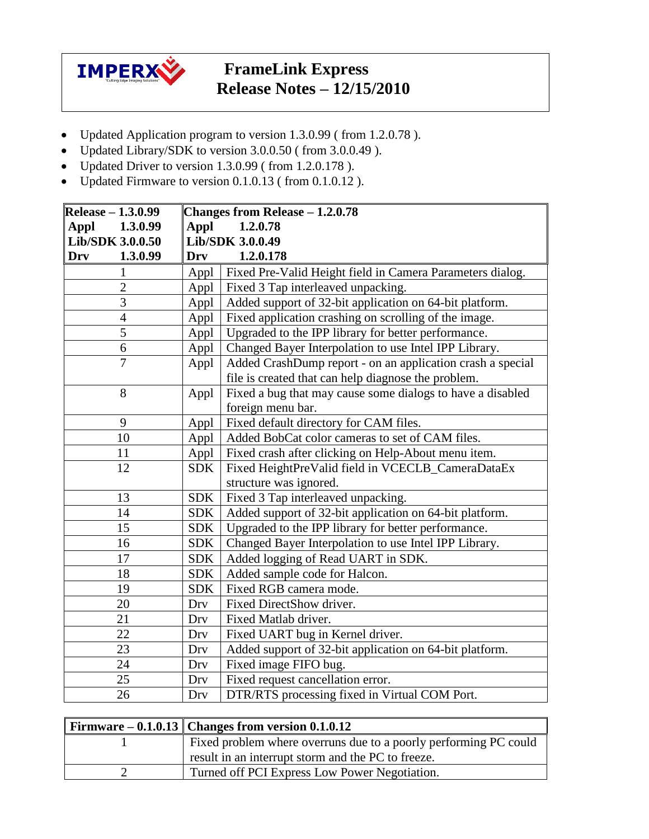

## **FrameLink Express Release Notes – 12/15/2010**

- Updated Application program to version 1.3.0.99 ( from 1.2.0.78 ).
- Updated Library/SDK to version 3.0.0.50 ( from 3.0.0.49 ).
- Updated Driver to version 1.3.0.99 ( from 1.2.0.178 ).
- Updated Firmware to version 0.1.0.13 ( from 0.1.0.12 ).

| Release – 1.3.0.99 |            | Changes from Release $-1.2.0.78$                           |
|--------------------|------------|------------------------------------------------------------|
| Appl<br>1.3.0.99   | Appl       | 1.2.0.78                                                   |
| Lib/SDK 3.0.0.50   |            | Lib/SDK 3.0.0.49                                           |
| 1.3.0.99<br>Drv    | Drv        | 1.2.0.178                                                  |
| $\mathbf{1}$       | Appl       | Fixed Pre-Valid Height field in Camera Parameters dialog.  |
| $\overline{2}$     | Appl       | Fixed 3 Tap interleaved unpacking.                         |
| 3                  | Appl       | Added support of 32-bit application on 64-bit platform.    |
| $\overline{4}$     | Appl       | Fixed application crashing on scrolling of the image.      |
| 5                  | Appl       | Upgraded to the IPP library for better performance.        |
| 6                  | Appl       | Changed Bayer Interpolation to use Intel IPP Library.      |
| $\overline{7}$     | Appl       | Added CrashDump report - on an application crash a special |
|                    |            | file is created that can help diagnose the problem.        |
| 8                  | Appl       | Fixed a bug that may cause some dialogs to have a disabled |
|                    |            | foreign menu bar.                                          |
| 9                  | Appl       | Fixed default directory for CAM files.                     |
| 10                 | Appl       | Added BobCat color cameras to set of CAM files.            |
| 11                 | Appl       | Fixed crash after clicking on Help-About menu item.        |
| 12                 | <b>SDK</b> | Fixed HeightPreValid field in VCECLB_CameraDataEx          |
|                    |            | structure was ignored.                                     |
| 13                 | <b>SDK</b> | Fixed 3 Tap interleaved unpacking.                         |
| 14                 | <b>SDK</b> | Added support of 32-bit application on 64-bit platform.    |
| 15                 | <b>SDK</b> | Upgraded to the IPP library for better performance.        |
| 16                 | <b>SDK</b> | Changed Bayer Interpolation to use Intel IPP Library.      |
| 17                 | <b>SDK</b> | Added logging of Read UART in SDK.                         |
| 18                 | <b>SDK</b> | Added sample code for Halcon.                              |
| 19                 | <b>SDK</b> | Fixed RGB camera mode.                                     |
| 20                 | Drv        | Fixed DirectShow driver.                                   |
| 21                 | Drv        | Fixed Matlab driver.                                       |
| 22                 | Drv        | Fixed UART bug in Kernel driver.                           |
| 23                 | Drv        | Added support of 32-bit application on 64-bit platform.    |
| 24                 | Drv        | Fixed image FIFO bug.                                      |
| 25                 | Drv        | Fixed request cancellation error.                          |
| 26                 | Drv        | DTR/RTS processing fixed in Virtual COM Port.              |

| Firmware $-0.1.0.13$ Changes from version 0.1.0.12               |
|------------------------------------------------------------------|
| Fixed problem where overruns due to a poorly performing PC could |
| result in an interrupt storm and the PC to freeze.               |
| Turned off PCI Express Low Power Negotiation.                    |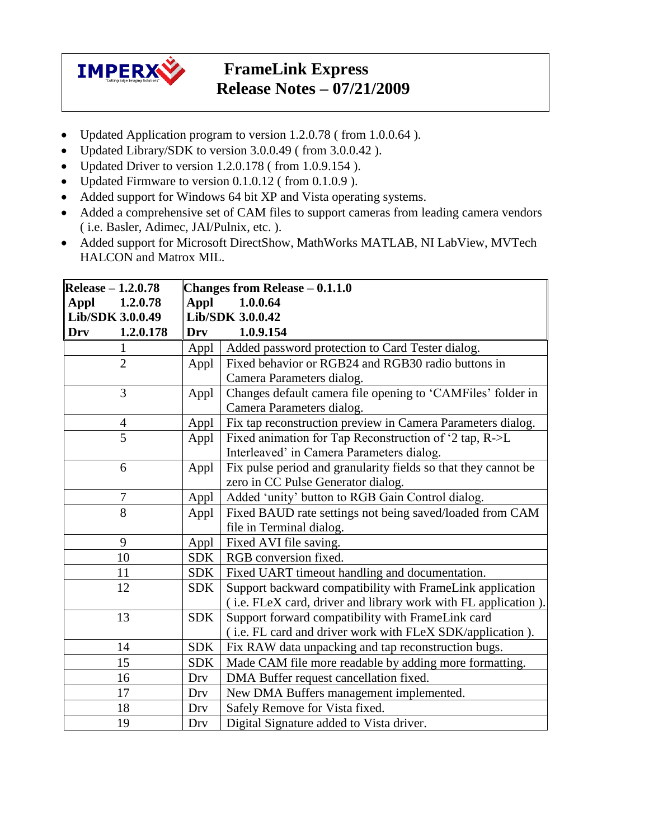

## **FrameLink Express Release Notes – 07/21/2009**

- Updated Application program to version 1.2.0.78 (from 1.0.0.64).
- Updated Library/SDK to version 3.0.0.49 ( from 3.0.0.42 ).
- Updated Driver to version 1.2.0.178 ( from 1.0.9.154 ).
- Updated Firmware to version 0.1.0.12 ( from 0.1.0.9 ).
- Added support for Windows 64 bit XP and Vista operating systems.
- Added a comprehensive set of CAM files to support cameras from leading camera vendors ( i.e. Basler, Adimec, JAI/Pulnix, etc. ).
- Added support for Microsoft DirectShow, MathWorks MATLAB, NI LabView, MVTech HALCON and Matrox MIL.

| $\ell$ Release – 1.2.0.78 |                  | Changes from Release $-0.1.1.0$                                |
|---------------------------|------------------|----------------------------------------------------------------|
| 1.2.0.78<br>Appl          | Appl<br>1.0.0.64 |                                                                |
| Lib/SDK 3.0.0.49          | Lib/SDK 3.0.0.42 |                                                                |
| 1.2.0.178<br>Drv          | Drv              | 1.0.9.154                                                      |
| 1                         | Appl             | Added password protection to Card Tester dialog.               |
| $\overline{2}$            | Appl             | Fixed behavior or RGB24 and RGB30 radio buttons in             |
|                           |                  | Camera Parameters dialog.                                      |
| 3                         | Appl             | Changes default camera file opening to 'CAMFiles' folder in    |
|                           |                  | Camera Parameters dialog.                                      |
| $\overline{4}$            | Appl             | Fix tap reconstruction preview in Camera Parameters dialog.    |
| $\overline{5}$            | Appl             | Fixed animation for Tap Reconstruction of '2 tap, R->L         |
|                           |                  | Interleaved' in Camera Parameters dialog.                      |
| 6                         | Appl             | Fix pulse period and granularity fields so that they cannot be |
|                           |                  | zero in CC Pulse Generator dialog.                             |
| 7                         | Appl             | Added 'unity' button to RGB Gain Control dialog.               |
| 8                         | Appl             | Fixed BAUD rate settings not being saved/loaded from CAM       |
|                           |                  | file in Terminal dialog.                                       |
| 9                         | Appl             | Fixed AVI file saving.                                         |
| 10                        | <b>SDK</b>       | RGB conversion fixed.                                          |
| 11                        | <b>SDK</b>       | Fixed UART timeout handling and documentation.                 |
| 12                        | <b>SDK</b>       | Support backward compatibility with FrameLink application      |
|                           |                  | (i.e. FLeX card, driver and library work with FL application)  |
| 13                        | <b>SDK</b>       | Support forward compatibility with FrameLink card              |
|                           |                  | (i.e. FL card and driver work with FLeX SDK/application).      |
| 14                        | <b>SDK</b>       | Fix RAW data unpacking and tap reconstruction bugs.            |
| 15                        | <b>SDK</b>       | Made CAM file more readable by adding more formatting.         |
| 16                        | Drv              | DMA Buffer request cancellation fixed.                         |
| 17                        | Drv              | New DMA Buffers management implemented.                        |
| 18                        | Drv              | Safely Remove for Vista fixed.                                 |
| 19                        | Drv              | Digital Signature added to Vista driver.                       |